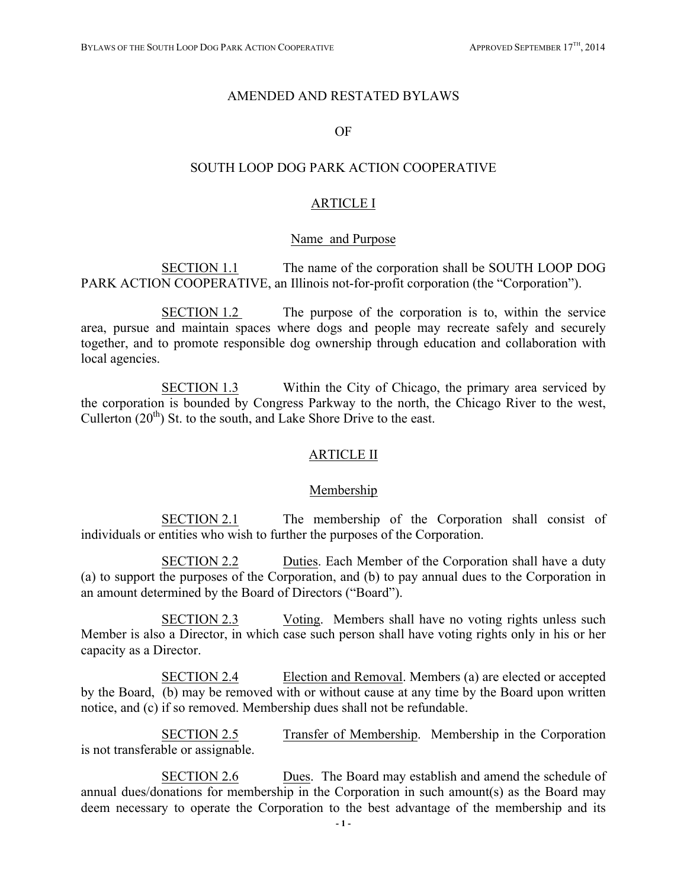#### AMENDED AND RESTATED BYLAWS

#### OF

# SOUTH LOOP DOG PARK ACTION COOPERATIVE

### ARTICLE I

### Name and Purpose

SECTION 1.1 The name of the corporation shall be SOUTH LOOP DOG PARK ACTION COOPERATIVE, an Illinois not-for-profit corporation (the "Corporation").

SECTION 1.2 The purpose of the corporation is to, within the service area, pursue and maintain spaces where dogs and people may recreate safely and securely together, and to promote responsible dog ownership through education and collaboration with local agencies.

SECTION 1.3 Within the City of Chicago, the primary area serviced by the corporation is bounded by Congress Parkway to the north, the Chicago River to the west, Cullerton  $(20<sup>th</sup>)$  St. to the south, and Lake Shore Drive to the east.

### ARTICLE II

#### Membership

SECTION 2.1 The membership of the Corporation shall consist of individuals or entities who wish to further the purposes of the Corporation.

SECTION 2.2 Duties. Each Member of the Corporation shall have a duty (a) to support the purposes of the Corporation, and (b) to pay annual dues to the Corporation in an amount determined by the Board of Directors ("Board").

SECTION 2.3 Voting. Members shall have no voting rights unless such Member is also a Director, in which case such person shall have voting rights only in his or her capacity as a Director.

SECTION 2.4 Election and Removal. Members (a) are elected or accepted by the Board, (b) may be removed with or without cause at any time by the Board upon written notice, and (c) if so removed. Membership dues shall not be refundable.

SECTION 2.5 Transfer of Membership. Membership in the Corporation is not transferable or assignable.

SECTION 2.6 Dues. The Board may establish and amend the schedule of annual dues/donations for membership in the Corporation in such amount(s) as the Board may deem necessary to operate the Corporation to the best advantage of the membership and its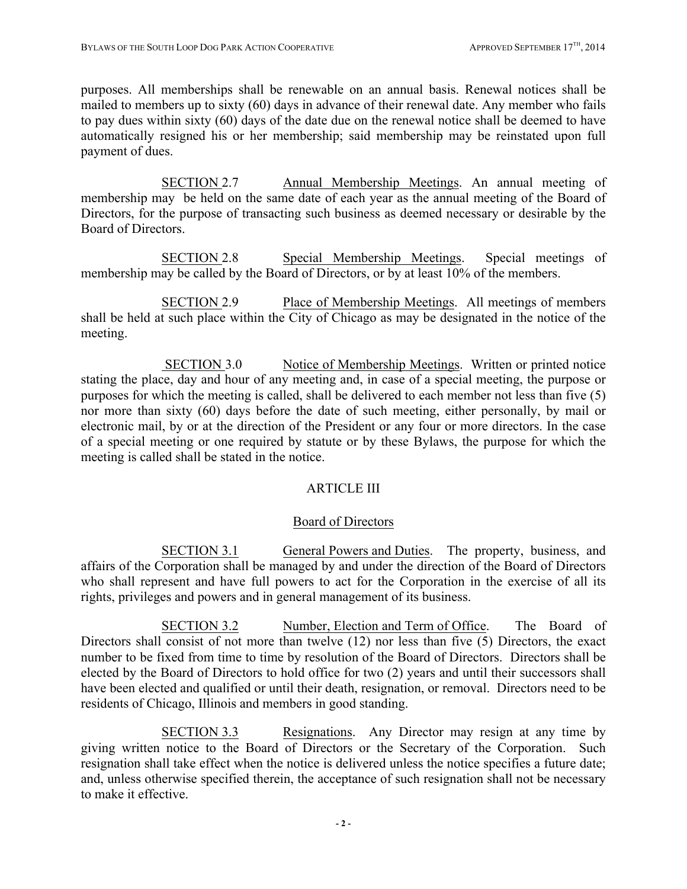purposes. All memberships shall be renewable on an annual basis. Renewal notices shall be mailed to members up to sixty (60) days in advance of their renewal date. Any member who fails to pay dues within sixty (60) days of the date due on the renewal notice shall be deemed to have automatically resigned his or her membership; said membership may be reinstated upon full payment of dues.

SECTION 2.7 Annual Membership Meetings. An annual meeting of membership may be held on the same date of each year as the annual meeting of the Board of Directors, for the purpose of transacting such business as deemed necessary or desirable by the Board of Directors.

SECTION 2.8 Special Membership Meetings. Special meetings of membership may be called by the Board of Directors, or by at least 10% of the members.

SECTION 2.9 Place of Membership Meetings. All meetings of members shall be held at such place within the City of Chicago as may be designated in the notice of the meeting.

SECTION 3.0 Notice of Membership Meetings. Written or printed notice stating the place, day and hour of any meeting and, in case of a special meeting, the purpose or purposes for which the meeting is called, shall be delivered to each member not less than five (5) nor more than sixty (60) days before the date of such meeting, either personally, by mail or electronic mail, by or at the direction of the President or any four or more directors. In the case of a special meeting or one required by statute or by these Bylaws, the purpose for which the meeting is called shall be stated in the notice.

# ARTICLE III

# Board of Directors

SECTION 3.1 General Powers and Duties. The property, business, and affairs of the Corporation shall be managed by and under the direction of the Board of Directors who shall represent and have full powers to act for the Corporation in the exercise of all its rights, privileges and powers and in general management of its business.

SECTION 3.2 Number, Election and Term of Office. The Board of Directors shall consist of not more than twelve (12) nor less than five (5) Directors, the exact number to be fixed from time to time by resolution of the Board of Directors. Directors shall be elected by the Board of Directors to hold office for two (2) years and until their successors shall have been elected and qualified or until their death, resignation, or removal. Directors need to be residents of Chicago, Illinois and members in good standing.

SECTION 3.3 Resignations. Any Director may resign at any time by giving written notice to the Board of Directors or the Secretary of the Corporation. Such resignation shall take effect when the notice is delivered unless the notice specifies a future date; and, unless otherwise specified therein, the acceptance of such resignation shall not be necessary to make it effective.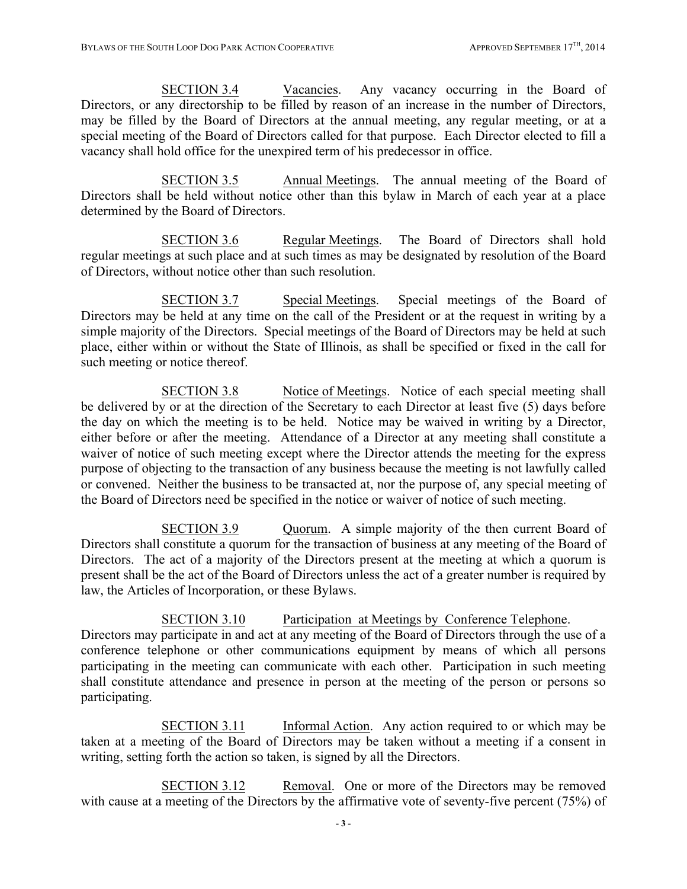SECTION 3.4 Vacancies. Any vacancy occurring in the Board of Directors, or any directorship to be filled by reason of an increase in the number of Directors, may be filled by the Board of Directors at the annual meeting, any regular meeting, or at a special meeting of the Board of Directors called for that purpose. Each Director elected to fill a vacancy shall hold office for the unexpired term of his predecessor in office.

SECTION 3.5 Annual Meetings. The annual meeting of the Board of Directors shall be held without notice other than this bylaw in March of each year at a place determined by the Board of Directors.

SECTION 3.6 Regular Meetings. The Board of Directors shall hold regular meetings at such place and at such times as may be designated by resolution of the Board of Directors, without notice other than such resolution.

SECTION 3.7 Special Meetings. Special meetings of the Board of Directors may be held at any time on the call of the President or at the request in writing by a simple majority of the Directors. Special meetings of the Board of Directors may be held at such place, either within or without the State of Illinois, as shall be specified or fixed in the call for such meeting or notice thereof.

SECTION 3.8 Notice of Meetings. Notice of each special meeting shall be delivered by or at the direction of the Secretary to each Director at least five (5) days before the day on which the meeting is to be held. Notice may be waived in writing by a Director, either before or after the meeting. Attendance of a Director at any meeting shall constitute a waiver of notice of such meeting except where the Director attends the meeting for the express purpose of objecting to the transaction of any business because the meeting is not lawfully called or convened. Neither the business to be transacted at, nor the purpose of, any special meeting of the Board of Directors need be specified in the notice or waiver of notice of such meeting.

SECTION 3.9 Quorum. A simple majority of the then current Board of Directors shall constitute a quorum for the transaction of business at any meeting of the Board of Directors. The act of a majority of the Directors present at the meeting at which a quorum is present shall be the act of the Board of Directors unless the act of a greater number is required by law, the Articles of Incorporation, or these Bylaws.

SECTION 3.10 Participation at Meetings by Conference Telephone. Directors may participate in and act at any meeting of the Board of Directors through the use of a conference telephone or other communications equipment by means of which all persons participating in the meeting can communicate with each other. Participation in such meeting shall constitute attendance and presence in person at the meeting of the person or persons so participating.

SECTION 3.11 Informal Action. Any action required to or which may be taken at a meeting of the Board of Directors may be taken without a meeting if a consent in writing, setting forth the action so taken, is signed by all the Directors.

SECTION 3.12 Removal. One or more of the Directors may be removed with cause at a meeting of the Directors by the affirmative vote of seventy-five percent (75%) of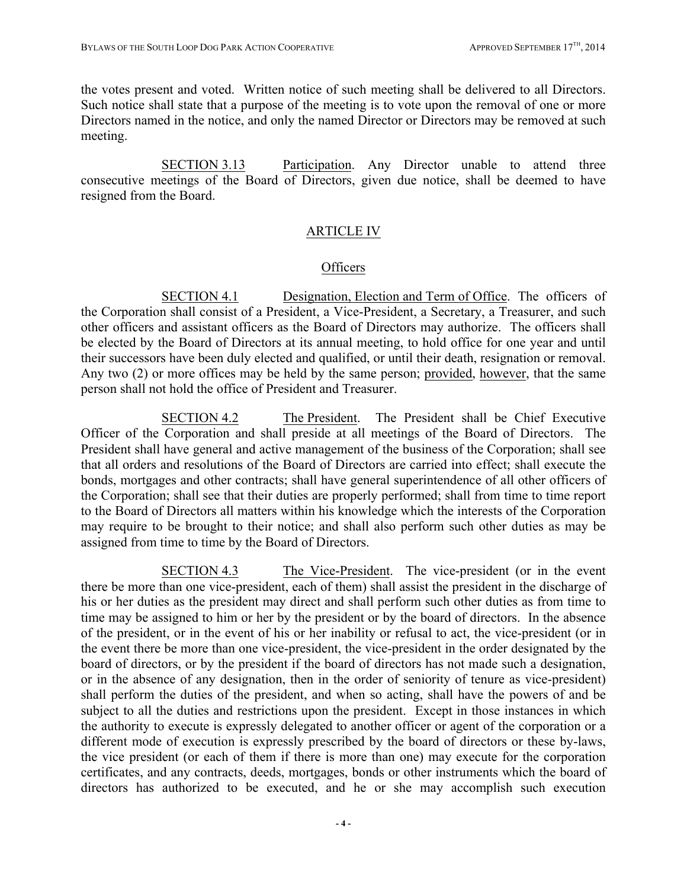the votes present and voted. Written notice of such meeting shall be delivered to all Directors. Such notice shall state that a purpose of the meeting is to vote upon the removal of one or more Directors named in the notice, and only the named Director or Directors may be removed at such meeting.

SECTION 3.13 Participation. Any Director unable to attend three consecutive meetings of the Board of Directors, given due notice, shall be deemed to have resigned from the Board.

# ARTICLE IV

# **Officers**

SECTION 4.1 Designation, Election and Term of Office. The officers of the Corporation shall consist of a President, a Vice-President, a Secretary, a Treasurer, and such other officers and assistant officers as the Board of Directors may authorize. The officers shall be elected by the Board of Directors at its annual meeting, to hold office for one year and until their successors have been duly elected and qualified, or until their death, resignation or removal. Any two (2) or more offices may be held by the same person; provided, however, that the same person shall not hold the office of President and Treasurer.

SECTION 4.2 The President. The President shall be Chief Executive Officer of the Corporation and shall preside at all meetings of the Board of Directors. The President shall have general and active management of the business of the Corporation; shall see that all orders and resolutions of the Board of Directors are carried into effect; shall execute the bonds, mortgages and other contracts; shall have general superintendence of all other officers of the Corporation; shall see that their duties are properly performed; shall from time to time report to the Board of Directors all matters within his knowledge which the interests of the Corporation may require to be brought to their notice; and shall also perform such other duties as may be assigned from time to time by the Board of Directors.

SECTION 4.3 The Vice-President. The vice-president (or in the event there be more than one vice-president, each of them) shall assist the president in the discharge of his or her duties as the president may direct and shall perform such other duties as from time to time may be assigned to him or her by the president or by the board of directors. In the absence of the president, or in the event of his or her inability or refusal to act, the vice-president (or in the event there be more than one vice-president, the vice-president in the order designated by the board of directors, or by the president if the board of directors has not made such a designation, or in the absence of any designation, then in the order of seniority of tenure as vice-president) shall perform the duties of the president, and when so acting, shall have the powers of and be subject to all the duties and restrictions upon the president. Except in those instances in which the authority to execute is expressly delegated to another officer or agent of the corporation or a different mode of execution is expressly prescribed by the board of directors or these by-laws, the vice president (or each of them if there is more than one) may execute for the corporation certificates, and any contracts, deeds, mortgages, bonds or other instruments which the board of directors has authorized to be executed, and he or she may accomplish such execution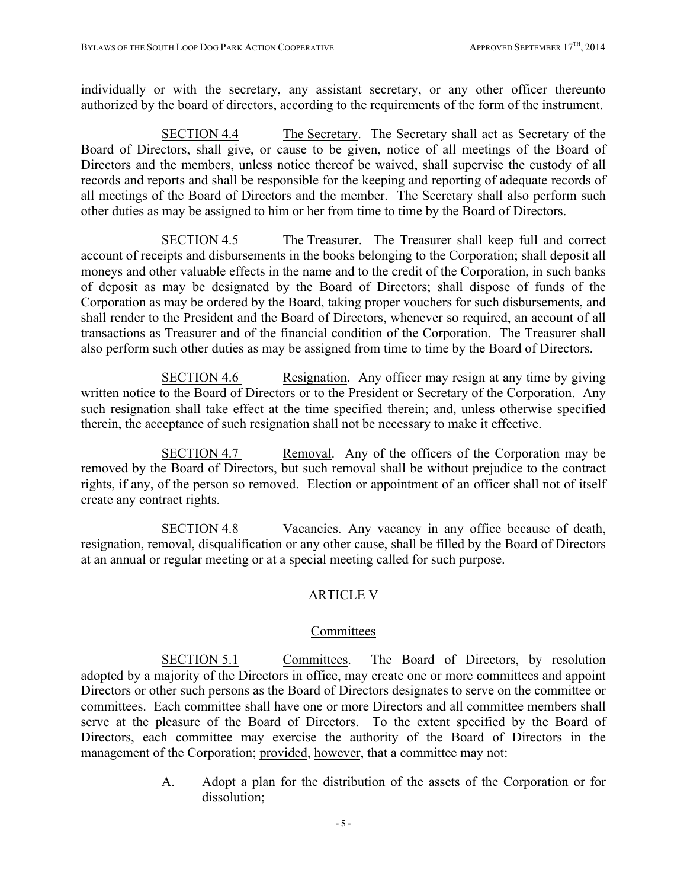individually or with the secretary, any assistant secretary, or any other officer thereunto authorized by the board of directors, according to the requirements of the form of the instrument.

SECTION 4.4 The Secretary. The Secretary shall act as Secretary of the Board of Directors, shall give, or cause to be given, notice of all meetings of the Board of Directors and the members, unless notice thereof be waived, shall supervise the custody of all records and reports and shall be responsible for the keeping and reporting of adequate records of all meetings of the Board of Directors and the member. The Secretary shall also perform such other duties as may be assigned to him or her from time to time by the Board of Directors.

SECTION 4.5 The Treasurer. The Treasurer shall keep full and correct account of receipts and disbursements in the books belonging to the Corporation; shall deposit all moneys and other valuable effects in the name and to the credit of the Corporation, in such banks of deposit as may be designated by the Board of Directors; shall dispose of funds of the Corporation as may be ordered by the Board, taking proper vouchers for such disbursements, and shall render to the President and the Board of Directors, whenever so required, an account of all transactions as Treasurer and of the financial condition of the Corporation. The Treasurer shall also perform such other duties as may be assigned from time to time by the Board of Directors.

SECTION 4.6 Resignation. Any officer may resign at any time by giving written notice to the Board of Directors or to the President or Secretary of the Corporation. Any such resignation shall take effect at the time specified therein; and, unless otherwise specified therein, the acceptance of such resignation shall not be necessary to make it effective.

SECTION 4.7 Removal. Any of the officers of the Corporation may be removed by the Board of Directors, but such removal shall be without prejudice to the contract rights, if any, of the person so removed. Election or appointment of an officer shall not of itself create any contract rights.

SECTION 4.8 Vacancies. Any vacancy in any office because of death, resignation, removal, disqualification or any other cause, shall be filled by the Board of Directors at an annual or regular meeting or at a special meeting called for such purpose.

# ARTICLE V

# **Committees**

SECTION 5.1 Committees. The Board of Directors, by resolution adopted by a majority of the Directors in office, may create one or more committees and appoint Directors or other such persons as the Board of Directors designates to serve on the committee or committees. Each committee shall have one or more Directors and all committee members shall serve at the pleasure of the Board of Directors. To the extent specified by the Board of Directors, each committee may exercise the authority of the Board of Directors in the management of the Corporation; provided, however, that a committee may not:

> A. Adopt a plan for the distribution of the assets of the Corporation or for dissolution;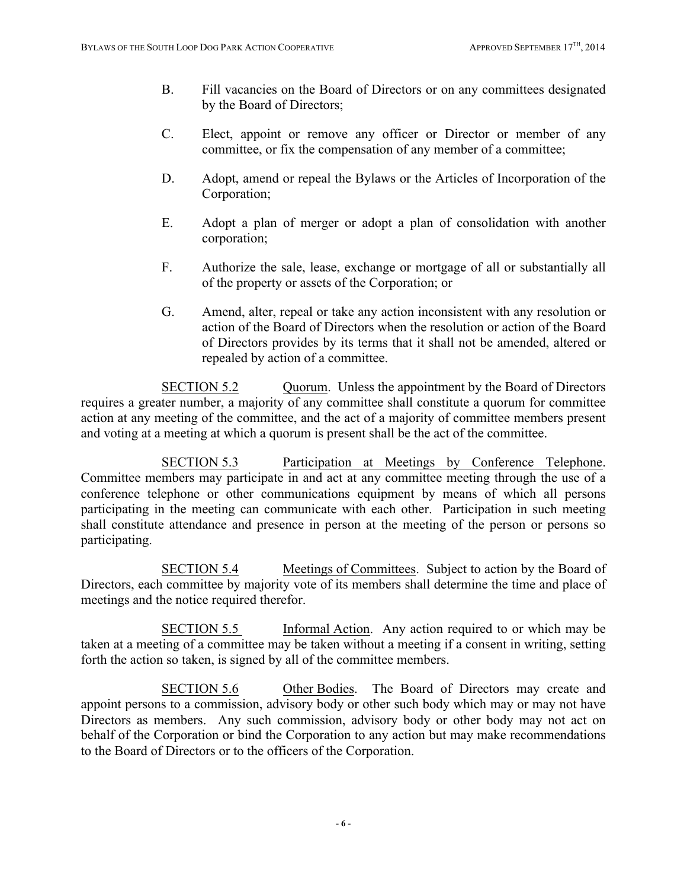- B. Fill vacancies on the Board of Directors or on any committees designated by the Board of Directors;
- C. Elect, appoint or remove any officer or Director or member of any committee, or fix the compensation of any member of a committee;
- D. Adopt, amend or repeal the Bylaws or the Articles of Incorporation of the Corporation;
- E. Adopt a plan of merger or adopt a plan of consolidation with another corporation;
- F. Authorize the sale, lease, exchange or mortgage of all or substantially all of the property or assets of the Corporation; or
- G. Amend, alter, repeal or take any action inconsistent with any resolution or action of the Board of Directors when the resolution or action of the Board of Directors provides by its terms that it shall not be amended, altered or repealed by action of a committee.

SECTION 5.2 Cuorum. Unless the appointment by the Board of Directors requires a greater number, a majority of any committee shall constitute a quorum for committee action at any meeting of the committee, and the act of a majority of committee members present and voting at a meeting at which a quorum is present shall be the act of the committee.

SECTION 5.3 Participation at Meetings by Conference Telephone. Committee members may participate in and act at any committee meeting through the use of a conference telephone or other communications equipment by means of which all persons participating in the meeting can communicate with each other. Participation in such meeting shall constitute attendance and presence in person at the meeting of the person or persons so participating.

SECTION 5.4 Meetings of Committees. Subject to action by the Board of Directors, each committee by majority vote of its members shall determine the time and place of meetings and the notice required therefor.

SECTION 5.5 Informal Action. Any action required to or which may be taken at a meeting of a committee may be taken without a meeting if a consent in writing, setting forth the action so taken, is signed by all of the committee members.

SECTION 5.6 Other Bodies. The Board of Directors may create and appoint persons to a commission, advisory body or other such body which may or may not have Directors as members. Any such commission, advisory body or other body may not act on behalf of the Corporation or bind the Corporation to any action but may make recommendations to the Board of Directors or to the officers of the Corporation.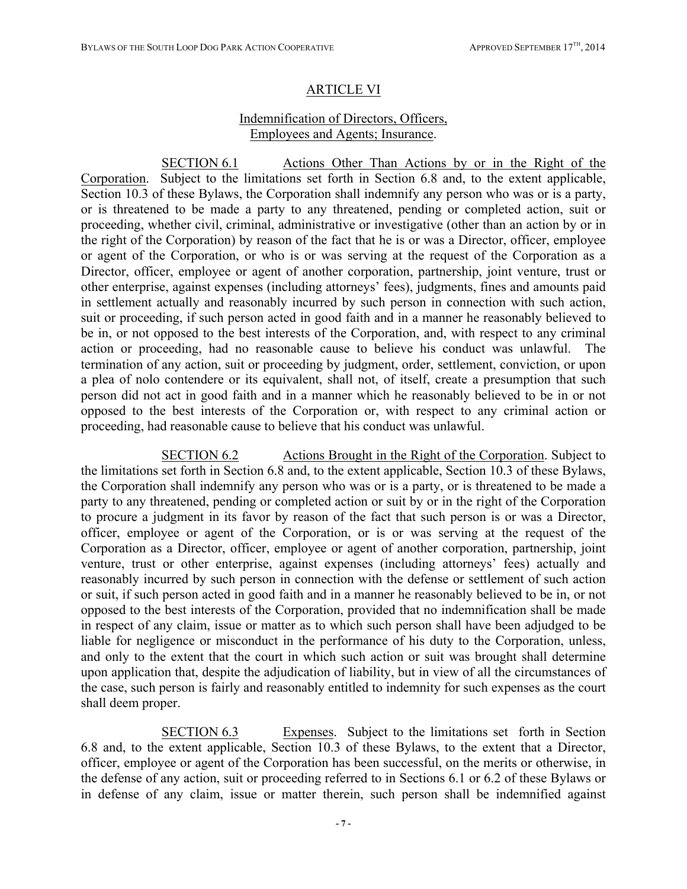### ARTICLE VI

## Indemnification of Directors, Officers, Employees and Agents; Insurance.

SECTION 6.1 Actions Other Than Actions by or in the Right of the Corporation. Subject to the limitations set forth in Section 6.8 and, to the extent applicable, Section 10.3 of these Bylaws, the Corporation shall indemnify any person who was or is a party, or is threatened to be made a party to any threatened, pending or completed action, suit or proceeding, whether civil, criminal, administrative or investigative (other than an action by or in the right of the Corporation) by reason of the fact that he is or was a Director, officer, employee or agent of the Corporation, or who is or was serving at the request of the Corporation as a Director, officer, employee or agent of another corporation, partnership, joint venture, trust or other enterprise, against expenses (including attorneys' fees), judgments, fines and amounts paid in settlement actually and reasonably incurred by such person in connection with such action, suit or proceeding, if such person acted in good faith and in a manner he reasonably believed to be in, or not opposed to the best interests of the Corporation, and, with respect to any criminal action or proceeding, had no reasonable cause to believe his conduct was unlawful. The termination of any action, suit or proceeding by judgment, order, settlement, conviction, or upon a plea of nolo contendere or its equivalent, shall not, of itself, create a presumption that such person did not act in good faith and in a manner which he reasonably believed to be in or not opposed to the best interests of the Corporation or, with respect to any criminal action or proceeding, had reasonable cause to believe that his conduct was unlawful.

SECTION 6.2 Actions Brought in the Right of the Corporation. Subject to the limitations set forth in Section 6.8 and, to the extent applicable, Section 10.3 of these Bylaws, the Corporation shall indemnify any person who was or is a party, or is threatened to be made a party to any threatened, pending or completed action or suit by or in the right of the Corporation to procure a judgment in its favor by reason of the fact that such person is or was a Director, officer, employee or agent of the Corporation, or is or was serving at the request of the Corporation as a Director, officer, employee or agent of another corporation, partnership, joint venture, trust or other enterprise, against expenses (including attorneys' fees) actually and reasonably incurred by such person in connection with the defense or settlement of such action or suit, if such person acted in good faith and in a manner he reasonably believed to be in, or not opposed to the best interests of the Corporation, provided that no indemnification shall be made in respect of any claim, issue or matter as to which such person shall have been adjudged to be liable for negligence or misconduct in the performance of his duty to the Corporation, unless, and only to the extent that the court in which such action or suit was brought shall determine upon application that, despite the adjudication of liability, but in view of all the circumstances of the case, such person is fairly and reasonably entitled to indemnity for such expenses as the court shall deem proper.

SECTION 6.3 Expenses. Subject to the limitations set forth in Section 6.8 and, to the extent applicable, Section 10.3 of these Bylaws, to the extent that a Director, officer, employee or agent of the Corporation has been successful, on the merits or otherwise, in the defense of any action, suit or proceeding referred to in Sections 6.1 or 6.2 of these Bylaws or in defense of any claim, issue or matter therein, such person shall be indemnified against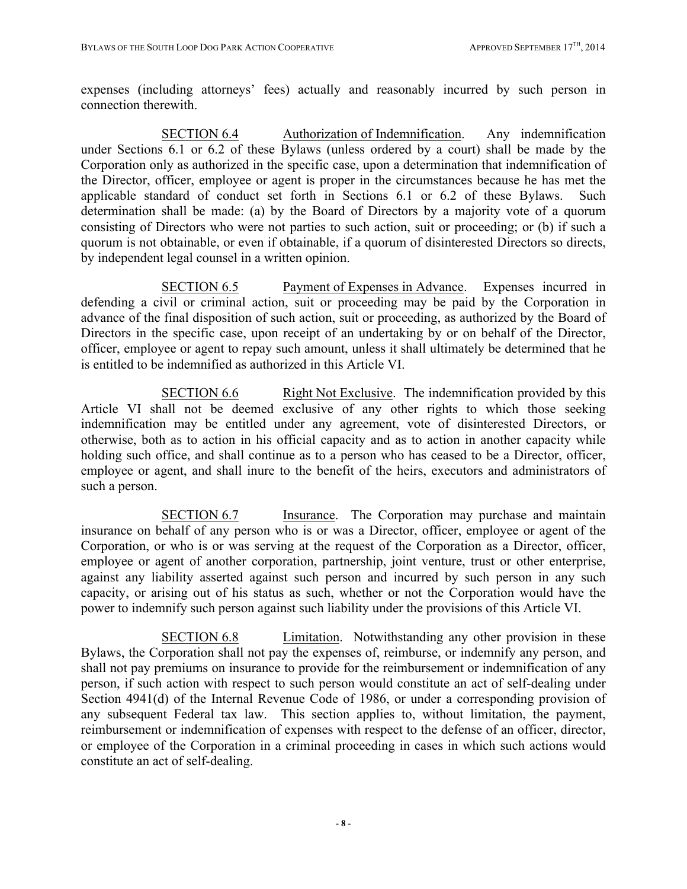expenses (including attorneys' fees) actually and reasonably incurred by such person in connection therewith.

SECTION 6.4 Authorization of Indemnification. Any indemnification under Sections 6.1 or 6.2 of these Bylaws (unless ordered by a court) shall be made by the Corporation only as authorized in the specific case, upon a determination that indemnification of the Director, officer, employee or agent is proper in the circumstances because he has met the applicable standard of conduct set forth in Sections 6.1 or 6.2 of these Bylaws. Such determination shall be made: (a) by the Board of Directors by a majority vote of a quorum consisting of Directors who were not parties to such action, suit or proceeding; or (b) if such a quorum is not obtainable, or even if obtainable, if a quorum of disinterested Directors so directs, by independent legal counsel in a written opinion.

SECTION 6.5 Payment of Expenses in Advance. Expenses incurred in defending a civil or criminal action, suit or proceeding may be paid by the Corporation in advance of the final disposition of such action, suit or proceeding, as authorized by the Board of Directors in the specific case, upon receipt of an undertaking by or on behalf of the Director, officer, employee or agent to repay such amount, unless it shall ultimately be determined that he is entitled to be indemnified as authorized in this Article VI.

SECTION 6.6 Right Not Exclusive. The indemnification provided by this Article VI shall not be deemed exclusive of any other rights to which those seeking indemnification may be entitled under any agreement, vote of disinterested Directors, or otherwise, both as to action in his official capacity and as to action in another capacity while holding such office, and shall continue as to a person who has ceased to be a Director, officer, employee or agent, and shall inure to the benefit of the heirs, executors and administrators of such a person.

SECTION 6.7 Insurance. The Corporation may purchase and maintain insurance on behalf of any person who is or was a Director, officer, employee or agent of the Corporation, or who is or was serving at the request of the Corporation as a Director, officer, employee or agent of another corporation, partnership, joint venture, trust or other enterprise, against any liability asserted against such person and incurred by such person in any such capacity, or arising out of his status as such, whether or not the Corporation would have the power to indemnify such person against such liability under the provisions of this Article VI.

SECTION 6.8 Limitation. Notwithstanding any other provision in these Bylaws, the Corporation shall not pay the expenses of, reimburse, or indemnify any person, and shall not pay premiums on insurance to provide for the reimbursement or indemnification of any person, if such action with respect to such person would constitute an act of self-dealing under Section 4941(d) of the Internal Revenue Code of 1986, or under a corresponding provision of any subsequent Federal tax law. This section applies to, without limitation, the payment, reimbursement or indemnification of expenses with respect to the defense of an officer, director, or employee of the Corporation in a criminal proceeding in cases in which such actions would constitute an act of self-dealing.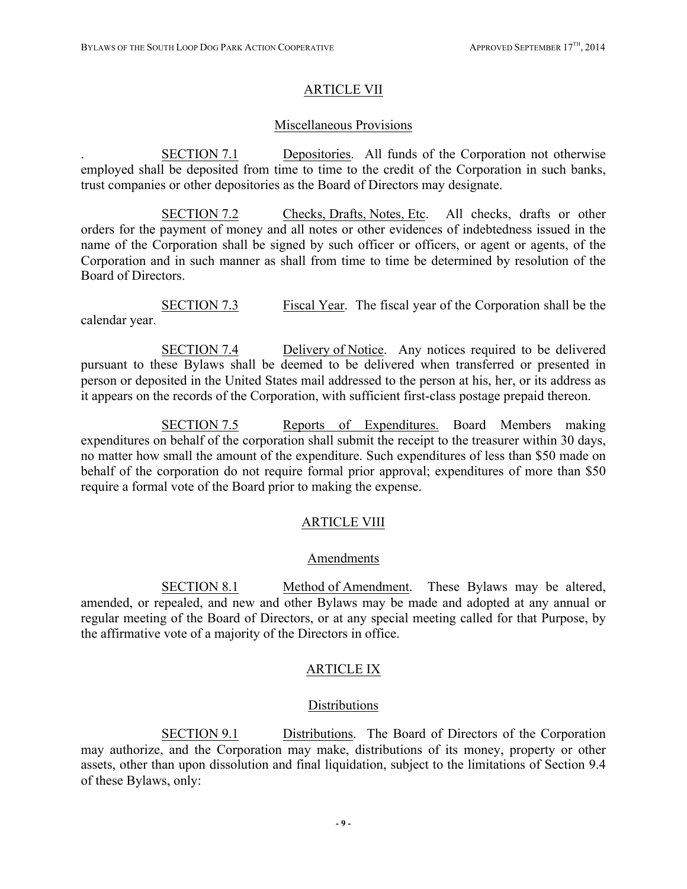# ARTICLE VII

#### Miscellaneous Provisions

. SECTION 7.1 Depositories. All funds of the Corporation not otherwise employed shall be deposited from time to time to the credit of the Corporation in such banks, trust companies or other depositories as the Board of Directors may designate.

SECTION 7.2 Checks, Drafts, Notes, Etc. All checks, drafts or other orders for the payment of money and all notes or other evidences of indebtedness issued in the name of the Corporation shall be signed by such officer or officers, or agent or agents, of the Corporation and in such manner as shall from time to time be determined by resolution of the Board of Directors.

SECTION 7.3 Fiscal Year. The fiscal year of the Corporation shall be the calendar year.

SECTION 7.4 Delivery of Notice. Any notices required to be delivered pursuant to these Bylaws shall be deemed to be delivered when transferred or presented in person or deposited in the United States mail addressed to the person at his, her, or its address as it appears on the records of the Corporation, with sufficient first-class postage prepaid thereon.

SECTION 7.5 Reports of Expenditures. Board Members making expenditures on behalf of the corporation shall submit the receipt to the treasurer within 30 days, no matter how small the amount of the expenditure. Such expenditures of less than \$50 made on behalf of the corporation do not require formal prior approval; expenditures of more than \$50 require a formal vote of the Board prior to making the expense.

# ARTICLE VIII

### Amendments

SECTION 8.1 Method of Amendment. These Bylaws may be altered, amended, or repealed, and new and other Bylaws may be made and adopted at any annual or regular meeting of the Board of Directors, or at any special meeting called for that Purpose, by the affirmative vote of a majority of the Directors in office.

### ARTICLE IX

### Distributions

SECTION 9.1 Distributions. The Board of Directors of the Corporation may authorize, and the Corporation may make, distributions of its money, property or other assets, other than upon dissolution and final liquidation, subject to the limitations of Section 9.4 of these Bylaws, only: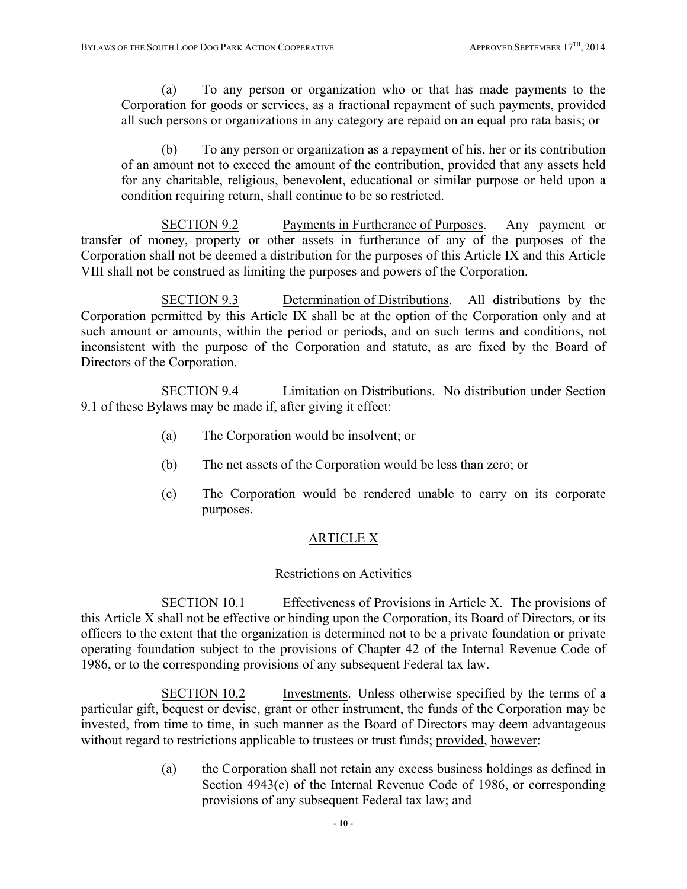(a) To any person or organization who or that has made payments to the Corporation for goods or services, as a fractional repayment of such payments, provided all such persons or organizations in any category are repaid on an equal pro rata basis; or

(b) To any person or organization as a repayment of his, her or its contribution of an amount not to exceed the amount of the contribution, provided that any assets held for any charitable, religious, benevolent, educational or similar purpose or held upon a condition requiring return, shall continue to be so restricted.

SECTION 9.2 Payments in Furtherance of Purposes. Any payment or transfer of money, property or other assets in furtherance of any of the purposes of the Corporation shall not be deemed a distribution for the purposes of this Article IX and this Article VIII shall not be construed as limiting the purposes and powers of the Corporation.

SECTION 9.3 Determination of Distributions. All distributions by the Corporation permitted by this Article IX shall be at the option of the Corporation only and at such amount or amounts, within the period or periods, and on such terms and conditions, not inconsistent with the purpose of the Corporation and statute, as are fixed by the Board of Directors of the Corporation.

SECTION 9.4 Limitation on Distributions. No distribution under Section 9.1 of these Bylaws may be made if, after giving it effect:

- (a) The Corporation would be insolvent; or
- (b) The net assets of the Corporation would be less than zero; or
- (c) The Corporation would be rendered unable to carry on its corporate purposes.

# ARTICLE X

# Restrictions on Activities

SECTION 10.1 Effectiveness of Provisions in Article X. The provisions of this Article X shall not be effective or binding upon the Corporation, its Board of Directors, or its officers to the extent that the organization is determined not to be a private foundation or private operating foundation subject to the provisions of Chapter 42 of the Internal Revenue Code of 1986, or to the corresponding provisions of any subsequent Federal tax law.

SECTION 10.2 Investments. Unless otherwise specified by the terms of a particular gift, bequest or devise, grant or other instrument, the funds of the Corporation may be invested, from time to time, in such manner as the Board of Directors may deem advantageous without regard to restrictions applicable to trustees or trust funds; provided, however:

> (a) the Corporation shall not retain any excess business holdings as defined in Section 4943(c) of the Internal Revenue Code of 1986, or corresponding provisions of any subsequent Federal tax law; and